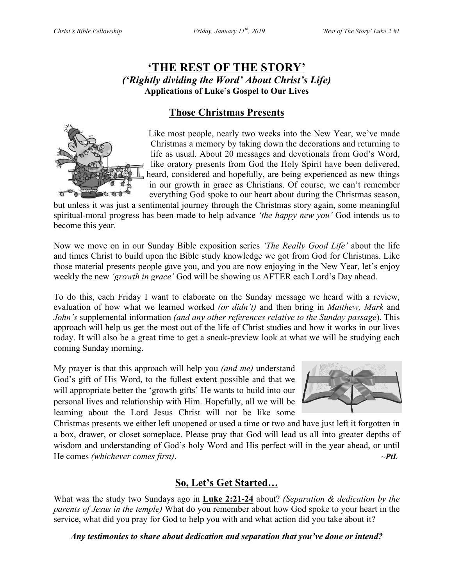# **'THE REST OF THE STORY'** *('Rightly dividing the Word' About Christ's Life)* **Applications of Luke's Gospel to Our Lives**

# **Those Christmas Presents**



 Like most people, nearly two weeks into the New Year, we've made Christmas a memory by taking down the decorations and returning to life as usual. About 20 messages and devotionals from God's Word, like oratory presents from God the Holy Spirit have been delivered, heard, considered and hopefully, are being experienced as new things in our growth in grace as Christians. Of course, we can't remember everything God spoke to our heart about during the Christmas season,

but unless it was just a sentimental journey through the Christmas story again, some meaningful spiritual-moral progress has been made to help advance *'the happy new you'* God intends us to become this year.

Now we move on in our Sunday Bible exposition series *'The Really Good Life'* about the life and times Christ to build upon the Bible study knowledge we got from God for Christmas. Like those material presents people gave you, and you are now enjoying in the New Year, let's enjoy weekly the new *'growth in grace'* God will be showing us AFTER each Lord's Day ahead.

To do this, each Friday I want to elaborate on the Sunday message we heard with a review, evaluation of how what we learned worked *(or didn't)* and then bring in *Matthew, Mark* and *John's* supplemental information *(and any other references relative to the Sunday passage*). This approach will help us get the most out of the life of Christ studies and how it works in our lives today. It will also be a great time to get a sneak-preview look at what we will be studying each coming Sunday morning.

My prayer is that this approach will help you *(and me)* understand God's gift of His Word, to the fullest extent possible and that we will appropriate better the 'growth gifts' He wants to build into our personal lives and relationship with Him. Hopefully, all we will be learning about the Lord Jesus Christ will not be like some



Christmas presents we either left unopened or used a time or two and have just left it forgotten in a box, drawer, or closet someplace. Please pray that God will lead us all into greater depths of wisdom and understanding of God's holy Word and His perfect will in the year ahead, or until He comes *(whichever comes first)*. ~*PtL*

# **So, Let's Get Started…**

What was the study two Sundays ago in **Luke 2:21-24** about? *(Separation & dedication by the parents of Jesus in the temple)* What do you remember about how God spoke to your heart in the service, what did you pray for God to help you with and what action did you take about it?

*Any testimonies to share about dedication and separation that you've done or intend?*